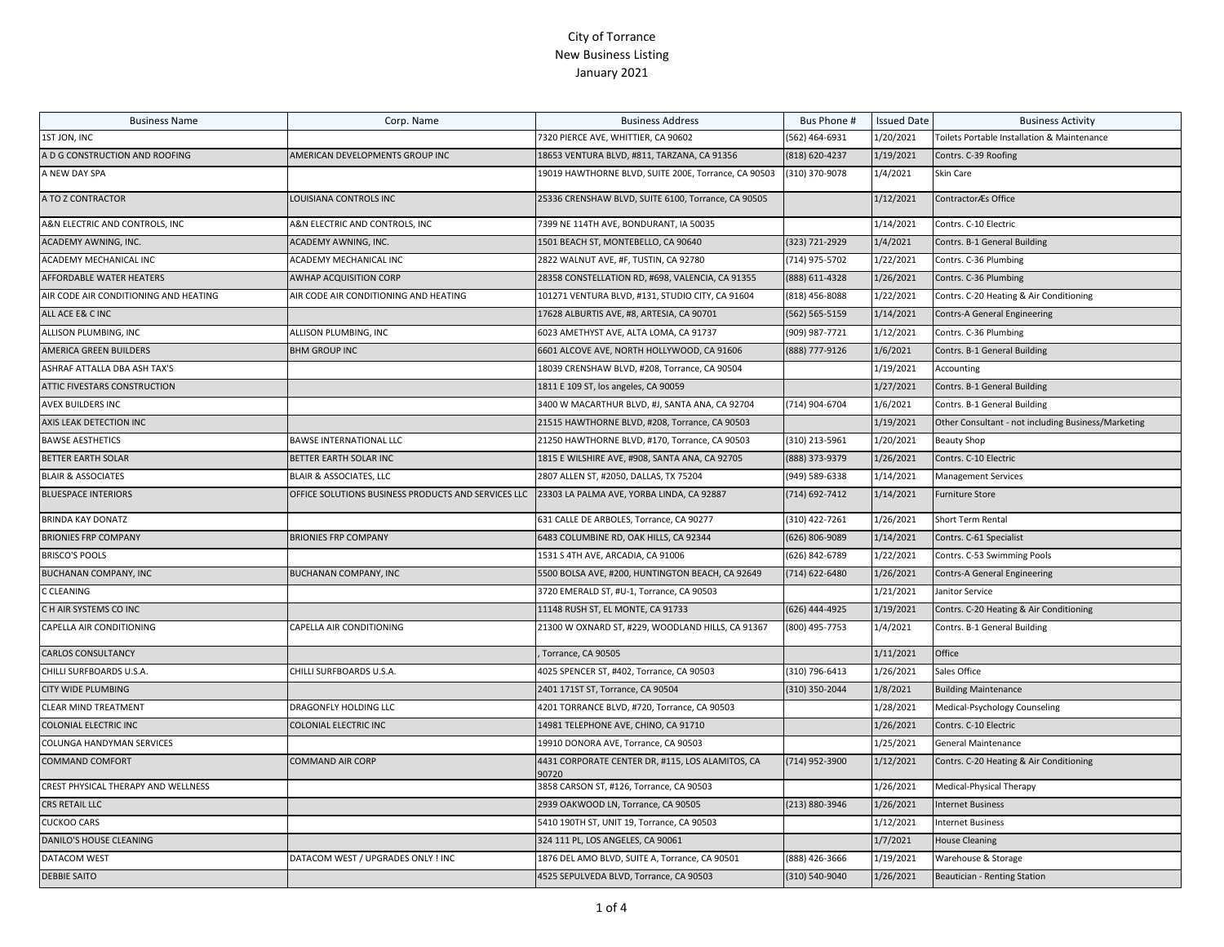| <b>Business Name</b>                  | Corp. Name                                          | <b>Business Address</b>                                   | Bus Phone #    | <b>Issued Date</b> | <b>Business Activity</b>                            |
|---------------------------------------|-----------------------------------------------------|-----------------------------------------------------------|----------------|--------------------|-----------------------------------------------------|
| 1ST JON, INC                          |                                                     | 7320 PIERCE AVE, WHITTIER, CA 90602                       | (562) 464-6931 | 1/20/2021          | Toilets Portable Installation & Maintenance         |
| A D G CONSTRUCTION AND ROOFING        | AMERICAN DEVELOPMENTS GROUP INC                     | 18653 VENTURA BLVD, #811, TARZANA, CA 91356               | (818) 620-4237 | 1/19/2021          | Contrs. C-39 Roofing                                |
| A NEW DAY SPA                         |                                                     | 19019 HAWTHORNE BLVD, SUITE 200E, Torrance, CA 90503      | (310) 370-9078 | 1/4/2021           | Skin Care                                           |
| A TO Z CONTRACTOR                     | LOUISIANA CONTROLS INC                              | 25336 CRENSHAW BLVD, SUITE 6100, Torrance, CA 90505       |                | 1/12/2021          | ContractorÆs Office                                 |
| A&N ELECTRIC AND CONTROLS, INC        | A&N ELECTRIC AND CONTROLS, INC                      | 7399 NE 114TH AVE, BONDURANT, IA 50035                    |                | 1/14/2021          | Contrs. C-10 Electric                               |
| ACADEMY AWNING, INC.                  | ACADEMY AWNING, INC.                                | 1501 BEACH ST, MONTEBELLO, CA 90640                       | (323) 721-2929 | 1/4/2021           | Contrs. B-1 General Building                        |
| ACADEMY MECHANICAL INC                | ACADEMY MECHANICAL INC                              | 2822 WALNUT AVE, #F, TUSTIN, CA 92780                     | (714) 975-5702 | 1/22/2021          | Contrs. C-36 Plumbing                               |
| AFFORDABLE WATER HEATERS              | <b>AWHAP ACQUISITION CORP</b>                       | 28358 CONSTELLATION RD, #698, VALENCIA, CA 91355          | (888) 611-4328 | 1/26/2021          | Contrs. C-36 Plumbing                               |
| AIR CODE AIR CONDITIONING AND HEATING | AIR CODE AIR CONDITIONING AND HEATING               | 101271 VENTURA BLVD, #131, STUDIO CITY, CA 91604          | (818) 456-8088 | 1/22/2021          | Contrs. C-20 Heating & Air Conditioning             |
| ALL ACE E& C INC                      |                                                     | 17628 ALBURTIS AVE, #8, ARTESIA, CA 90701                 | (562) 565-5159 | 1/14/2021          | <b>Contrs-A General Engineering</b>                 |
| ALLISON PLUMBING, INC                 | ALLISON PLUMBING, INC                               | 6023 AMETHYST AVE, ALTA LOMA, CA 91737                    | (909) 987-7721 | 1/12/2021          | Contrs. C-36 Plumbing                               |
| AMERICA GREEN BUILDERS                | <b>BHM GROUP INC</b>                                | 6601 ALCOVE AVE, NORTH HOLLYWOOD, CA 91606                | (888) 777-9126 | 1/6/2021           | Contrs. B-1 General Building                        |
| ASHRAF ATTALLA DBA ASH TAX'S          |                                                     | 18039 CRENSHAW BLVD, #208, Torrance, CA 90504             |                | 1/19/2021          | Accounting                                          |
| ATTIC FIVESTARS CONSTRUCTION          |                                                     | 1811 E 109 ST, los angeles, CA 90059                      |                | 1/27/2021          | Contrs. B-1 General Building                        |
| AVEX BUILDERS INC                     |                                                     | 3400 W MACARTHUR BLVD, #J, SANTA ANA, CA 92704            | (714) 904-6704 | 1/6/2021           | Contrs. B-1 General Building                        |
| AXIS LEAK DETECTION INC               |                                                     | 21515 HAWTHORNE BLVD, #208, Torrance, CA 90503            |                | 1/19/2021          | Other Consultant - not including Business/Marketing |
| <b>BAWSE AESTHETICS</b>               | <b>BAWSE INTERNATIONAL LLC</b>                      | 21250 HAWTHORNE BLVD, #170, Torrance, CA 90503            | (310) 213-5961 | 1/20/2021          | <b>Beauty Shop</b>                                  |
| BETTER EARTH SOLAR                    | BETTER EARTH SOLAR INC                              | 1815 E WILSHIRE AVE, #908, SANTA ANA, CA 92705            | (888) 373-9379 | 1/26/2021          | Contrs. C-10 Electric                               |
| <b>BLAIR &amp; ASSOCIATES</b>         | BLAIR & ASSOCIATES, LLC                             | 2807 ALLEN ST, #2050, DALLAS, TX 75204                    | (949) 589-6338 | 1/14/2021          | <b>Management Services</b>                          |
| <b>BLUESPACE INTERIORS</b>            | OFFICE SOLUTIONS BUSINESS PRODUCTS AND SERVICES LLC | 23303 LA PALMA AVE, YORBA LINDA, CA 92887                 | (714) 692-7412 | 1/14/2021          | <b>Furniture Store</b>                              |
| <b>BRINDA KAY DONATZ</b>              |                                                     | 631 CALLE DE ARBOLES, Torrance, CA 90277                  | (310) 422-7261 | 1/26/2021          | Short Term Rental                                   |
| <b>BRIONIES FRP COMPANY</b>           | <b>BRIONIES FRP COMPANY</b>                         | 6483 COLUMBINE RD, OAK HILLS, CA 92344                    | (626) 806-9089 | 1/14/2021          | Contrs. C-61 Specialist                             |
| <b>BRISCO'S POOLS</b>                 |                                                     | 1531 S 4TH AVE, ARCADIA, CA 91006                         | (626) 842-6789 | 1/22/2021          | Contrs. C-53 Swimming Pools                         |
| BUCHANAN COMPANY, INC                 | <b>BUCHANAN COMPANY, INC</b>                        | 5500 BOLSA AVE, #200, HUNTINGTON BEACH, CA 92649          | (714) 622-6480 | 1/26/2021          | Contrs-A General Engineering                        |
| C CLEANING                            |                                                     | 3720 EMERALD ST, #U-1, Torrance, CA 90503                 |                | 1/21/2021          | Janitor Service                                     |
| C H AIR SYSTEMS CO INC                |                                                     | 11148 RUSH ST, EL MONTE, CA 91733                         | (626) 444-4925 | 1/19/2021          | Contrs. C-20 Heating & Air Conditioning             |
| CAPELLA AIR CONDITIONING              | CAPELLA AIR CONDITIONING                            | 21300 W OXNARD ST, #229, WOODLAND HILLS, CA 91367         | (800) 495-7753 | 1/4/2021           | Contrs. B-1 General Building                        |
| CARLOS CONSULTANCY                    |                                                     | Torrance, CA 90505                                        |                | 1/11/2021          | Office                                              |
| CHILLI SURFBOARDS U.S.A.              | CHILLI SURFBOARDS U.S.A.                            | 4025 SPENCER ST, #402, Torrance, CA 90503                 | (310) 796-6413 | 1/26/2021          | Sales Office                                        |
| <b>CITY WIDE PLUMBING</b>             |                                                     | 2401 171ST ST, Torrance, CA 90504                         | (310) 350-2044 | 1/8/2021           | <b>Building Maintenance</b>                         |
| <b>CLEAR MIND TREATMENT</b>           | DRAGONFLY HOLDING LLC                               | 4201 TORRANCE BLVD, #720, Torrance, CA 90503              |                | 1/28/2021          | Medical-Psychology Counseling                       |
| <b>COLONIAL ELECTRIC INC</b>          | COLONIAL ELECTRIC INC                               | 14981 TELEPHONE AVE, CHINO, CA 91710                      |                | 1/26/2021          | Contrs. C-10 Electric                               |
| COLUNGA HANDYMAN SERVICES             |                                                     | 19910 DONORA AVE, Torrance, CA 90503                      |                | 1/25/2021          | General Maintenance                                 |
| COMMAND COMFORT                       | COMMAND AIR CORP                                    | 4431 CORPORATE CENTER DR, #115, LOS ALAMITOS, CA<br>90720 | (714) 952-3900 | 1/12/2021          | Contrs. C-20 Heating & Air Conditioning             |
| CREST PHYSICAL THERAPY AND WELLNESS   |                                                     | 3858 CARSON ST, #126, Torrance, CA 90503                  |                | 1/26/2021          | Medical-Physical Therapy                            |
| <b>CRS RETAIL LLC</b>                 |                                                     | 2939 OAKWOOD LN, Torrance, CA 90505                       | (213) 880-3946 | 1/26/2021          | <b>Internet Business</b>                            |
| <b>CUCKOO CARS</b>                    |                                                     | 5410 190TH ST, UNIT 19, Torrance, CA 90503                |                | 1/12/2021          | <b>Internet Business</b>                            |
| DANILO'S HOUSE CLEANING               |                                                     | 324 111 PL, LOS ANGELES, CA 90061                         |                | 1/7/2021           | <b>House Cleaning</b>                               |
| DATACOM WEST                          | DATACOM WEST / UPGRADES ONLY ! INC                  | 1876 DEL AMO BLVD, SUITE A, Torrance, CA 90501            | (888) 426-3666 | 1/19/2021          | Warehouse & Storage                                 |
| <b>DEBBIE SAITO</b>                   |                                                     | 4525 SEPULVEDA BLVD, Torrance, CA 90503                   | (310) 540-9040 | 1/26/2021          | Beautician - Renting Station                        |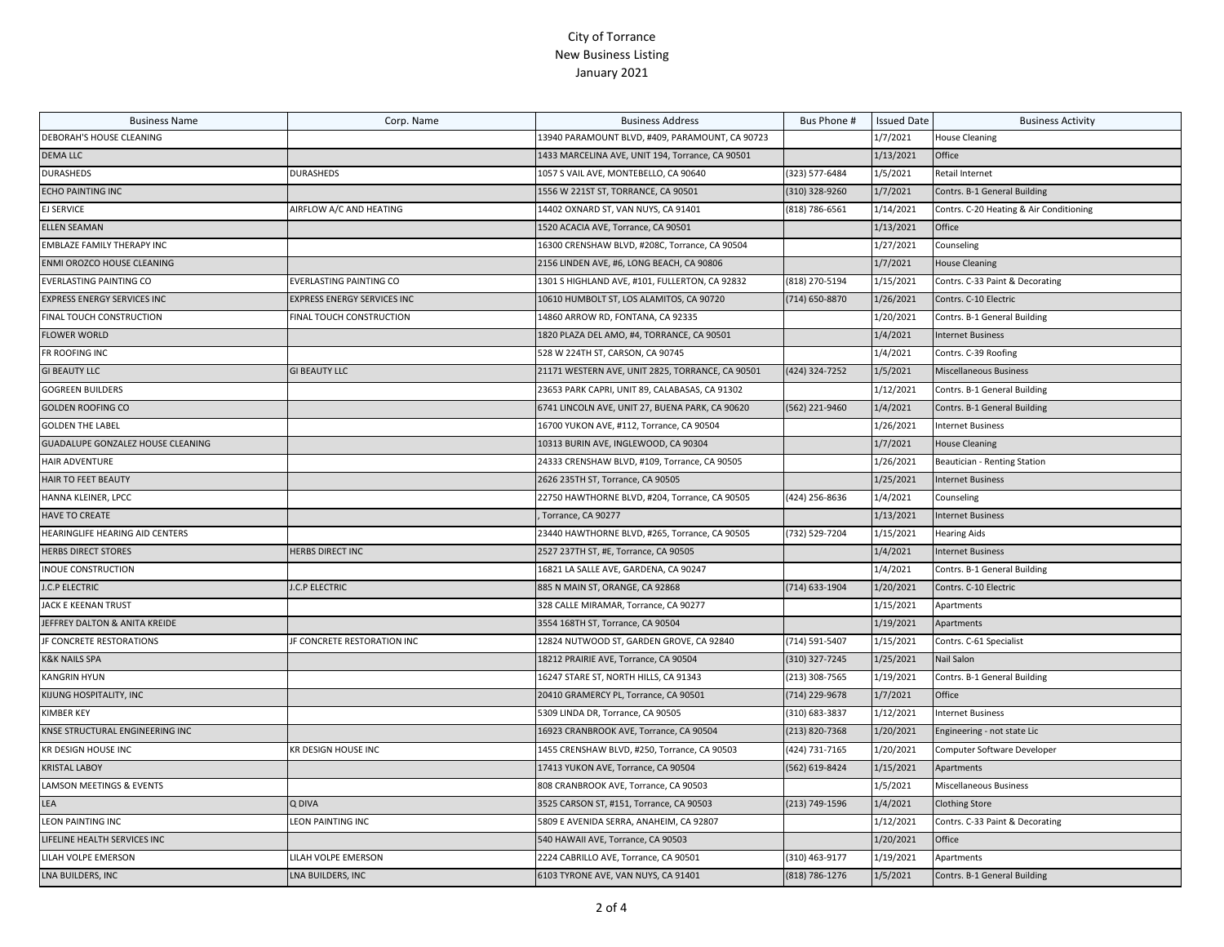| <b>Business Name</b>                     | Corp. Name                         | <b>Business Address</b>                          | Bus Phone #    | <b>Issued Date</b> | <b>Business Activity</b>                |
|------------------------------------------|------------------------------------|--------------------------------------------------|----------------|--------------------|-----------------------------------------|
| DEBORAH'S HOUSE CLEANING                 |                                    | 13940 PARAMOUNT BLVD, #409, PARAMOUNT, CA 90723  |                | 1/7/2021           | <b>House Cleaning</b>                   |
| <b>DEMA LLC</b>                          |                                    | 1433 MARCELINA AVE, UNIT 194, Torrance, CA 90501 |                | 1/13/2021          | Office                                  |
| <b>DURASHEDS</b>                         | DURASHEDS                          | 1057 S VAIL AVE, MONTEBELLO, CA 90640            | (323) 577-6484 | 1/5/2021           | Retail Internet                         |
| <b>ECHO PAINTING INC</b>                 |                                    | 1556 W 221ST ST, TORRANCE, CA 90501              | (310) 328-9260 | 1/7/2021           | Contrs. B-1 General Building            |
| <b>EJ SERVICE</b>                        | AIRFLOW A/C AND HEATING            | 14402 OXNARD ST, VAN NUYS, CA 91401              | (818) 786-6561 | 1/14/2021          | Contrs. C-20 Heating & Air Conditioning |
| <b>ELLEN SEAMAN</b>                      |                                    | 1520 ACACIA AVE, Torrance, CA 90501              |                | 1/13/2021          | Office                                  |
| EMBLAZE FAMILY THERAPY INC               |                                    | 16300 CRENSHAW BLVD, #208C, Torrance, CA 90504   |                | 1/27/2021          | Counseling                              |
| ENMI OROZCO HOUSE CLEANING               |                                    | 2156 LINDEN AVE, #6, LONG BEACH, CA 90806        |                | 1/7/2021           | <b>House Cleaning</b>                   |
| <b>EVERLASTING PAINTING CO</b>           | EVERLASTING PAINTING CO            | 1301 S HIGHLAND AVE, #101, FULLERTON, CA 92832   | (818) 270-5194 | 1/15/2021          | Contrs. C-33 Paint & Decorating         |
| <b>EXPRESS ENERGY SERVICES INC</b>       | <b>EXPRESS ENERGY SERVICES INC</b> | 10610 HUMBOLT ST, LOS ALAMITOS, CA 90720         | (714) 650-8870 | 1/26/2021          | Contrs. C-10 Electric                   |
| FINAL TOUCH CONSTRUCTION                 | FINAL TOUCH CONSTRUCTION           | 14860 ARROW RD, FONTANA, CA 92335                |                | 1/20/2021          | Contrs. B-1 General Building            |
| <b>FLOWER WORLD</b>                      |                                    | 1820 PLAZA DEL AMO, #4, TORRANCE, CA 90501       |                | 1/4/2021           | <b>Internet Business</b>                |
| FR ROOFING INC                           |                                    | 528 W 224TH ST, CARSON, CA 90745                 |                | 1/4/2021           | Contrs. C-39 Roofing                    |
| <b>GI BEAUTY LLC</b>                     | <b>GI BEAUTY LLC</b>               | 21171 WESTERN AVE, UNIT 2825, TORRANCE, CA 90501 | (424) 324-7252 | 1/5/2021           | Miscellaneous Business                  |
| <b>GOGREEN BUILDERS</b>                  |                                    | 23653 PARK CAPRI, UNIT 89, CALABASAS, CA 91302   |                | 1/12/2021          | Contrs. B-1 General Building            |
| <b>GOLDEN ROOFING CO</b>                 |                                    | 6741 LINCOLN AVE, UNIT 27, BUENA PARK, CA 90620  | (562) 221-9460 | 1/4/2021           | Contrs. B-1 General Building            |
| <b>GOLDEN THE LABEL</b>                  |                                    | 16700 YUKON AVE, #112, Torrance, CA 90504        |                | 1/26/2021          | Internet Business                       |
| <b>GUADALUPE GONZALEZ HOUSE CLEANING</b> |                                    | 10313 BURIN AVE, INGLEWOOD, CA 90304             |                | 1/7/2021           | <b>House Cleaning</b>                   |
| HAIR ADVENTURE                           |                                    | 24333 CRENSHAW BLVD, #109, Torrance, CA 90505    |                | 1/26/2021          | Beautician - Renting Station            |
| HAIR TO FEET BEAUTY                      |                                    | 2626 235TH ST, Torrance, CA 90505                |                | 1/25/2021          | <b>Internet Business</b>                |
| HANNA KLEINER, LPCC                      |                                    | 22750 HAWTHORNE BLVD, #204, Torrance, CA 90505   | 424) 256-8636  | 1/4/2021           | Counseling                              |
| <b>HAVE TO CREATE</b>                    |                                    | Torrance, CA 90277                               |                | 1/13/2021          | <b>Internet Business</b>                |
| HEARINGLIFE HEARING AID CENTERS          |                                    | 23440 HAWTHORNE BLVD, #265, Torrance, CA 90505   | (732) 529-7204 | 1/15/2021          | <b>Hearing Aids</b>                     |
| <b>HERBS DIRECT STORES</b>               | HERBS DIRECT INC                   | 2527 237TH ST, #E, Torrance, CA 90505            |                | 1/4/2021           | <b>Internet Business</b>                |
| <b>INOUE CONSTRUCTION</b>                |                                    | 16821 LA SALLE AVE, GARDENA, CA 90247            |                | 1/4/2021           | Contrs. B-1 General Building            |
| <b>J.C.P ELECTRIC</b>                    | J.C.P ELECTRIC                     | 885 N MAIN ST, ORANGE, CA 92868                  | (714) 633-1904 | 1/20/2021          | Contrs. C-10 Electric                   |
| JACK E KEENAN TRUST                      |                                    | 328 CALLE MIRAMAR, Torrance, CA 90277            |                | 1/15/2021          | Apartments                              |
| JEFFREY DALTON & ANITA KREIDE            |                                    | 3554 168TH ST, Torrance, CA 90504                |                | 1/19/2021          | Apartments                              |
| JF CONCRETE RESTORATIONS                 | IF CONCRETE RESTORATION INC        | 12824 NUTWOOD ST, GARDEN GROVE, CA 92840         | (714) 591-5407 | 1/15/2021          | Contrs. C-61 Specialist                 |
| <b>K&amp;K NAILS SPA</b>                 |                                    | 18212 PRAIRIE AVE, Torrance, CA 90504            | (310) 327-7245 | 1/25/2021          | Nail Salon                              |
| <b>KANGRIN HYUN</b>                      |                                    | 16247 STARE ST, NORTH HILLS, CA 91343            | (213) 308-7565 | 1/19/2021          | Contrs. B-1 General Building            |
| KIJUNG HOSPITALITY, INC                  |                                    | 20410 GRAMERCY PL, Torrance, CA 90501            | (714) 229-9678 | 1/7/2021           | Office                                  |
| <b>KIMBER KEY</b>                        |                                    | 5309 LINDA DR, Torrance, CA 90505                | (310) 683-3837 | 1/12/2021          | <b>Internet Business</b>                |
| KNSE STRUCTURAL ENGINEERING INC          |                                    | 16923 CRANBROOK AVE, Torrance, CA 90504          | (213) 820-7368 | 1/20/2021          | Engineering - not state Lic             |
| KR DESIGN HOUSE INC                      | KR DESIGN HOUSE INC                | 1455 CRENSHAW BLVD, #250, Torrance, CA 90503     | (424) 731-7165 | 1/20/2021          | Computer Software Developer             |
| <b>KRISTAL LABOY</b>                     |                                    | 17413 YUKON AVE, Torrance, CA 90504              | (562) 619-8424 | 1/15/2021          | Apartments                              |
| LAMSON MEETINGS & EVENTS                 |                                    | 808 CRANBROOK AVE, Torrance, CA 90503            |                | 1/5/2021           | Miscellaneous Business                  |
| LEA                                      | Q DIVA                             | 3525 CARSON ST, #151, Torrance, CA 90503         | (213) 749-1596 | 1/4/2021           | <b>Clothing Store</b>                   |
| <b>LEON PAINTING INC</b>                 | LEON PAINTING INC                  | 5809 E AVENIDA SERRA, ANAHEIM, CA 92807          |                | 1/12/2021          | Contrs. C-33 Paint & Decorating         |
| LIFELINE HEALTH SERVICES INC             |                                    | 540 HAWAII AVE, Torrance, CA 90503               |                | 1/20/2021          | Office                                  |
| LILAH VOLPE EMERSON                      | LILAH VOLPE EMERSON                | 2224 CABRILLO AVE, Torrance, CA 90501            | (310) 463-9177 | 1/19/2021          | Apartments                              |
| LNA BUILDERS, INC                        | LNA BUILDERS, INC                  | 6103 TYRONE AVE, VAN NUYS, CA 91401              | (818) 786-1276 | 1/5/2021           | Contrs. B-1 General Building            |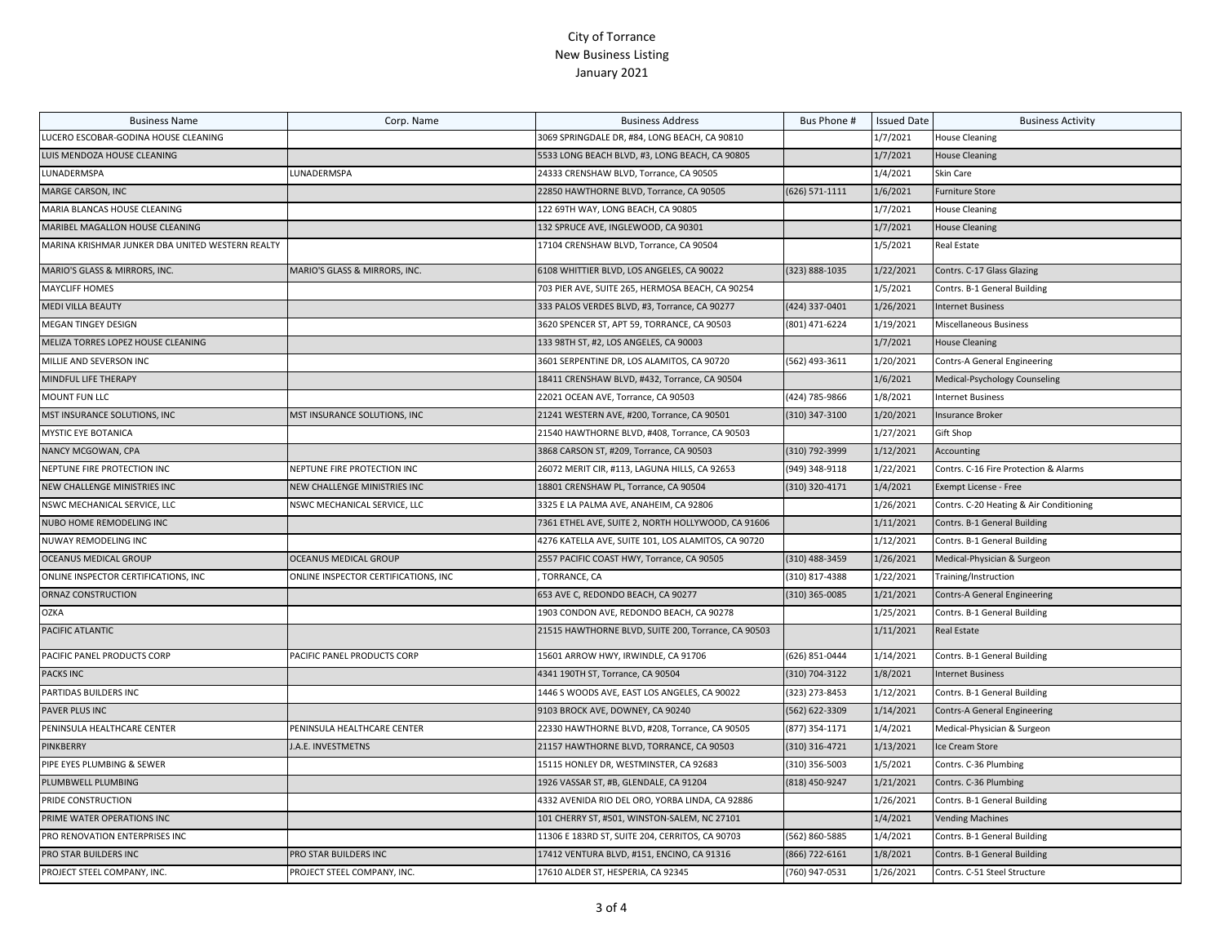| <b>Business Name</b>                             | Corp. Name                           | <b>Business Address</b>                             | Bus Phone #    | <b>Issued Date</b> | <b>Business Activity</b>                |
|--------------------------------------------------|--------------------------------------|-----------------------------------------------------|----------------|--------------------|-----------------------------------------|
| LUCERO ESCOBAR-GODINA HOUSE CLEANING             |                                      | 3069 SPRINGDALE DR, #84, LONG BEACH, CA 90810       |                | 1/7/2021           | <b>House Cleaning</b>                   |
| LUIS MENDOZA HOUSE CLEANING                      |                                      | 5533 LONG BEACH BLVD, #3, LONG BEACH, CA 90805      |                | 1/7/2021           | <b>House Cleaning</b>                   |
| LUNADERMSPA                                      | LUNADERMSPA                          | 24333 CRENSHAW BLVD, Torrance, CA 90505             |                | 1/4/2021           | Skin Care                               |
| MARGE CARSON, INC                                |                                      | 22850 HAWTHORNE BLVD, Torrance, CA 90505            | (626) 571-1111 | 1/6/2021           | <b>Furniture Store</b>                  |
| MARIA BLANCAS HOUSE CLEANING                     |                                      | 122 69TH WAY, LONG BEACH, CA 90805                  |                | 1/7/2021           | <b>House Cleaning</b>                   |
| MARIBEL MAGALLON HOUSE CLEANING                  |                                      | 132 SPRUCE AVE, INGLEWOOD, CA 90301                 |                | 1/7/2021           | <b>House Cleaning</b>                   |
| MARINA KRISHMAR JUNKER DBA UNITED WESTERN REALTY |                                      | 17104 CRENSHAW BLVD, Torrance, CA 90504             |                | 1/5/2021           | Real Estate                             |
| MARIO'S GLASS & MIRRORS, INC.                    | MARIO'S GLASS & MIRRORS, INC.        | 6108 WHITTIER BLVD, LOS ANGELES, CA 90022           | (323) 888-1035 | 1/22/2021          | Contrs. C-17 Glass Glazing              |
| <b>MAYCLIFF HOMES</b>                            |                                      | 703 PIER AVE, SUITE 265, HERMOSA BEACH, CA 90254    |                | 1/5/2021           | Contrs. B-1 General Building            |
| <b>MEDI VILLA BEAUTY</b>                         |                                      | 333 PALOS VERDES BLVD, #3, Torrance, CA 90277       | (424) 337-0401 | 1/26/2021          | <b>Internet Business</b>                |
| MEGAN TINGEY DESIGN                              |                                      | 3620 SPENCER ST, APT 59, TORRANCE, CA 90503         | (801) 471-6224 | 1/19/2021          | <b>Miscellaneous Business</b>           |
| MELIZA TORRES LOPEZ HOUSE CLEANING               |                                      | 133 98TH ST, #2, LOS ANGELES, CA 90003              |                | 1/7/2021           | <b>House Cleaning</b>                   |
| MILLIE AND SEVERSON INC                          |                                      | 3601 SERPENTINE DR, LOS ALAMITOS, CA 90720          | (562) 493-3611 | 1/20/2021          | Contrs-A General Engineering            |
| MINDFUL LIFE THERAPY                             |                                      | 18411 CRENSHAW BLVD, #432, Torrance, CA 90504       |                | 1/6/2021           | Medical-Psychology Counseling           |
| MOUNT FUN LLC                                    |                                      | 22021 OCEAN AVE, Torrance, CA 90503                 | (424) 785-9866 | 1/8/2021           | <b>Internet Business</b>                |
| MST INSURANCE SOLUTIONS, INC                     | MST INSURANCE SOLUTIONS, INC         | 21241 WESTERN AVE, #200, Torrance, CA 90501         | (310) 347-3100 | 1/20/2021          | <b>Insurance Broker</b>                 |
| MYSTIC EYE BOTANICA                              |                                      | 21540 HAWTHORNE BLVD, #408, Torrance, CA 90503      |                | 1/27/2021          | Gift Shop                               |
| NANCY MCGOWAN, CPA                               |                                      | 3868 CARSON ST, #209, Torrance, CA 90503            | (310) 792-3999 | 1/12/2021          | Accounting                              |
| NEPTUNE FIRE PROTECTION INC                      | NEPTUNE FIRE PROTECTION INC          | 26072 MERIT CIR, #113, LAGUNA HILLS, CA 92653       | (949) 348-9118 | 1/22/2021          | Contrs. C-16 Fire Protection & Alarms   |
| NEW CHALLENGE MINISTRIES INC                     | NEW CHALLENGE MINISTRIES INC         | 18801 CRENSHAW PL, Torrance, CA 90504               | (310) 320-4171 | 1/4/2021           | Exempt License - Free                   |
| NSWC MECHANICAL SERVICE, LLC                     | NSWC MECHANICAL SERVICE, LLC         | 3325 E LA PALMA AVE, ANAHEIM, CA 92806              |                | 1/26/2021          | Contrs. C-20 Heating & Air Conditioning |
| NUBO HOME REMODELING INC                         |                                      | 7361 ETHEL AVE, SUITE 2, NORTH HOLLYWOOD, CA 91606  |                | 1/11/2021          | Contrs. B-1 General Building            |
| NUWAY REMODELING INC                             |                                      | 4276 KATELLA AVE, SUITE 101, LOS ALAMITOS, CA 90720 |                | 1/12/2021          | Contrs. B-1 General Building            |
| OCEANUS MEDICAL GROUP                            | <b>OCEANUS MEDICAL GROUP</b>         | 2557 PACIFIC COAST HWY, Torrance, CA 90505          | (310) 488-3459 | 1/26/2021          | Medical-Physician & Surgeon             |
| ONLINE INSPECTOR CERTIFICATIONS, INC             | ONLINE INSPECTOR CERTIFICATIONS, INC | TORRANCE, CA                                        | (310) 817-4388 | 1/22/2021          | Training/Instruction                    |
| ORNAZ CONSTRUCTION                               |                                      | 653 AVE C, REDONDO BEACH, CA 90277                  | (310) 365-0085 | 1/21/2021          | Contrs-A General Engineering            |
| <b>OZKA</b>                                      |                                      | 1903 CONDON AVE, REDONDO BEACH, CA 90278            |                | 1/25/2021          | Contrs. B-1 General Building            |
| PACIFIC ATLANTIC                                 |                                      | 21515 HAWTHORNE BLVD, SUITE 200, Torrance, CA 90503 |                | 1/11/2021          | Real Estate                             |
| PACIFIC PANEL PRODUCTS CORP                      | PACIFIC PANEL PRODUCTS CORP          | 15601 ARROW HWY, IRWINDLE, CA 91706                 | (626) 851-0444 | 1/14/2021          | Contrs. B-1 General Building            |
| <b>PACKS INC</b>                                 |                                      | 4341 190TH ST, Torrance, CA 90504                   | (310) 704-3122 | 1/8/2021           | <b>Internet Business</b>                |
| PARTIDAS BUILDERS INC                            |                                      | 1446 S WOODS AVE, EAST LOS ANGELES, CA 90022        | (323) 273-8453 | 1/12/2021          | Contrs. B-1 General Building            |
| PAVER PLUS INC                                   |                                      | 9103 BROCK AVE, DOWNEY, CA 90240                    | (562) 622-3309 | 1/14/2021          | <b>Contrs-A General Engineering</b>     |
| PENINSULA HEALTHCARE CENTER                      | PENINSULA HEALTHCARE CENTER          | 22330 HAWTHORNE BLVD, #208, Torrance, CA 90505      | (877) 354-1171 | 1/4/2021           | Medical-Physician & Surgeon             |
| PINKBERRY                                        | J.A.E. INVESTMETNS                   | 21157 HAWTHORNE BLVD, TORRANCE, CA 90503            | (310) 316-4721 | 1/13/2021          | Ice Cream Store                         |
| PIPE EYES PLUMBING & SEWER                       |                                      | 15115 HONLEY DR, WESTMINSTER, CA 92683              | (310) 356-5003 | 1/5/2021           | Contrs. C-36 Plumbing                   |
| PLUMBWELL PLUMBING                               |                                      | 1926 VASSAR ST, #B, GLENDALE, CA 91204              | (818) 450-9247 | 1/21/2021          | Contrs. C-36 Plumbing                   |
| PRIDE CONSTRUCTION                               |                                      | 4332 AVENIDA RIO DEL ORO, YORBA LINDA, CA 92886     |                | 1/26/2021          | Contrs. B-1 General Building            |
| PRIME WATER OPERATIONS INC                       |                                      | 101 CHERRY ST, #501, WINSTON-SALEM, NC 27101        |                | 1/4/2021           | <b>Vending Machines</b>                 |
| PRO RENOVATION ENTERPRISES INC                   |                                      | 11306 E 183RD ST, SUITE 204, CERRITOS, CA 90703     | (562) 860-5885 | 1/4/2021           | Contrs. B-1 General Building            |
| PRO STAR BUILDERS INC                            | PRO STAR BUILDERS INC                | 17412 VENTURA BLVD, #151, ENCINO, CA 91316          | (866) 722-6161 | 1/8/2021           | Contrs. B-1 General Building            |
| PROJECT STEEL COMPANY, INC.                      | PROJECT STEEL COMPANY, INC.          | 17610 ALDER ST, HESPERIA, CA 92345                  | (760) 947-0531 | 1/26/2021          | Contrs. C-51 Steel Structure            |